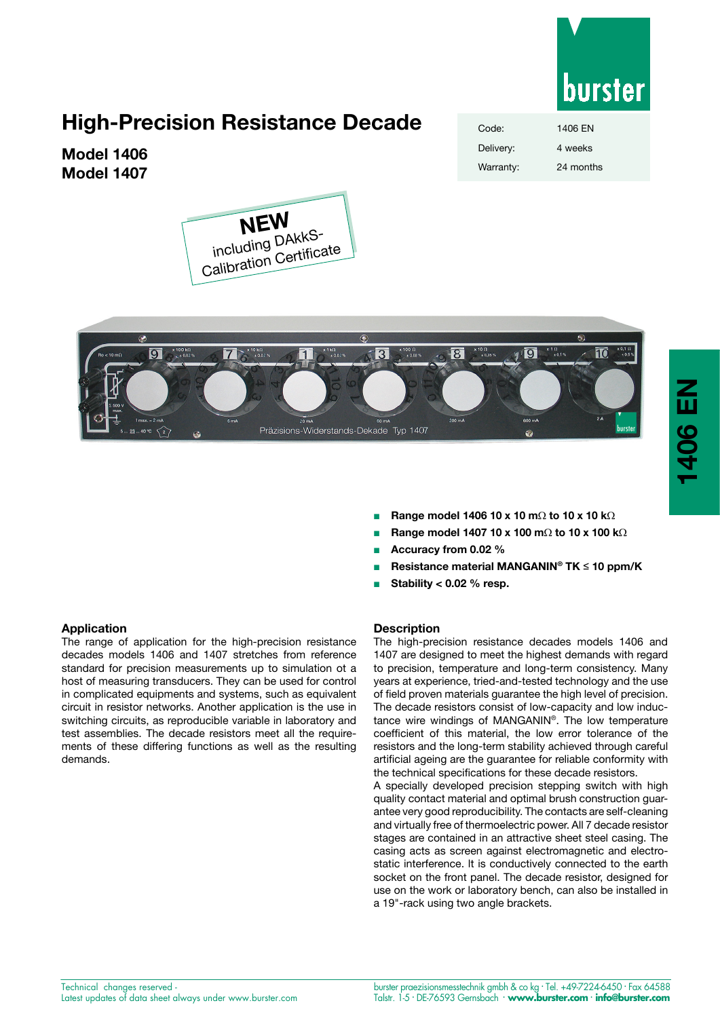

**1406 EN**

1406 EN

# **High-Precision Resistance Decade**

**Model 1406 Model 1407**



| Code:     | 1406 EN   |
|-----------|-----------|
| Delivery: | 4 weeks   |
| Warranty: | 24 months |



- <sup>n</sup> **Range model 1406 10 x 10 m**Ω **to 10 x 10 k**Ω
- <sup>n</sup> **Range model 1407 10 x 100 m**Ω **to 10 x 100 k**Ω
- <sup>n</sup> **Accuracy from 0.02 %**
- <sup>n</sup> **Resistance material MANGANIN® TK** ≤ **10 ppm/K**
- <sup>n</sup> **Stability < 0.02 % resp.**

## **Description**

The high-precision resistance decades models 1406 and 1407 are designed to meet the highest demands with regard to precision, temperature and long-term consistency. Many years at experience, tried-and-tested technology and the use of field proven materials guarantee the high level of precision. The decade resistors consist of low-capacity and low inductance wire windings of MANGANIN®. The low temperature coefficient of this material, the low error tolerance of the resistors and the long-term stability achieved through careful artificial ageing are the guarantee for reliable conformity with the technical specifications for these decade resistors.

A specially developed precision stepping switch with high quality contact material and optimal brush construction guarantee very good reproducibility. The contacts are self-cleaning and virtually free of thermoelectric power. All 7 decade resistor stages are contained in an attractive sheet steel casing. The casing acts as screen against electromagnetic and electrostatic interference. lt is conductively connected to the earth socket on the front panel. The decade resistor, designed for use on the work or laboratory bench, can also be installed in a 19"-rack using two angle brackets.

The range of application for the high-precision resistance decades models 1406 and 1407 stretches from reference standard for precision measurements up to simulation ot a host of measuring transducers. They can be used for control in complicated equipments and systems, such as equivalent circuit in resistor networks. Another application is the use in switching circuits, as reproducible variable in laboratory and test assemblies. The decade resistors meet all the requirements of these differing functions as well as the resulting demands.